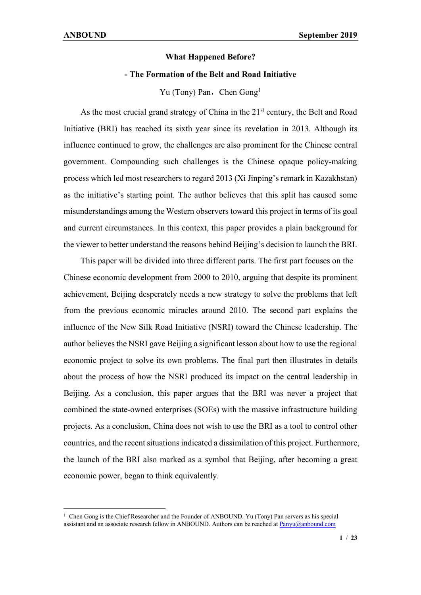#### **What Happened Before?**

### **- The Formation of the Belt and Road Initiative**

Yu (Tony) Pan, Chen Gong<sup>[1](#page-0-0)</sup>

As the most crucial grand strategy of China in the 21<sup>st</sup> century, the Belt and Road Initiative (BRI) has reached its sixth year since its revelation in 2013. Although its influence continued to grow, the challenges are also prominent for the Chinese central government. Compounding such challenges is the Chinese opaque policy-making process which led most researchers to regard 2013 (Xi Jinping's remark in Kazakhstan) as the initiative's starting point. The author believes that this split has caused some misunderstandings among the Western observers toward this project in terms of its goal and current circumstances. In this context, this paper provides a plain background for the viewer to better understand the reasons behind Beijing's decision to launch the BRI.

This paper will be divided into three different parts. The first part focuses on the Chinese economic development from 2000 to 2010, arguing that despite its prominent achievement, Beijing desperately needs a new strategy to solve the problems that left from the previous economic miracles around 2010. The second part explains the influence of the New Silk Road Initiative (NSRI) toward the Chinese leadership. The author believes the NSRI gave Beijing a significant lesson about how to use the regional economic project to solve its own problems. The final part then illustrates in details about the process of how the NSRI produced its impact on the central leadership in Beijing. As a conclusion, this paper argues that the BRI was never a project that combined the state-owned enterprises (SOEs) with the massive infrastructure building projects. As a conclusion, China does not wish to use the BRI as a tool to control other countries, and the recent situationsindicated a dissimilation of this project. Furthermore, the launch of the BRI also marked as a symbol that Beijing, after becoming a great economic power, began to think equivalently.

<span id="page-0-0"></span><sup>&</sup>lt;sup>1</sup> Chen Gong is the Chief Researcher and the Founder of ANBOUND. Yu (Tony) Pan servers as his special assistant and an associate research fellow in ANBOUND. Authors can be reached a[t Panyu@anbound.com](mailto:Panyu@anbound.com)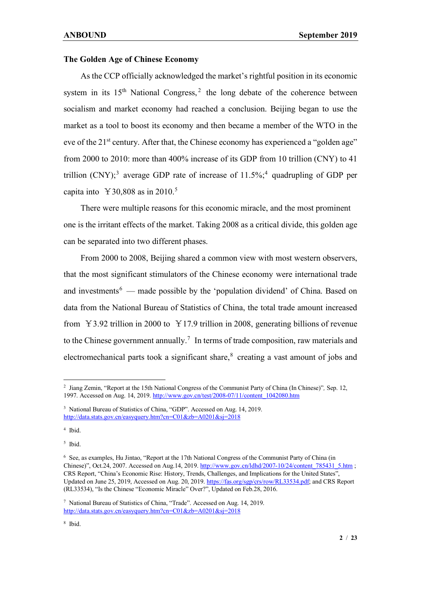#### **The Golden Age of Chinese Economy**

As the CCP officially acknowledged the market's rightful position in its economic system in its  $15<sup>th</sup>$  National Congress,<sup>[2](#page-1-0)</sup> the long debate of the coherence between socialism and market economy had reached a conclusion. Beijing began to use the market as a tool to boost its economy and then became a member of the WTO in the eve of the 21<sup>st</sup> century. After that, the Chinese economy has experienced a "golden age" from 2000 to 2010: more than 400% increase of its GDP from 10 trillion (CNY) to 41 trillion (CNY);<sup>[3](#page-1-1)</sup> average GDP rate of increase of  $11.5\%$ ;<sup>[4](#page-1-2)</sup> quadrupling of GDP per capita into ¥30,808 as in 2010. [5](#page-1-3)

There were multiple reasons for this economic miracle, and the most prominent one is the irritant effects of the market. Taking 2008 as a critical divide, this golden age can be separated into two different phases.

 From 2000 to 2008, Beijing shared a common view with most western observers, that the most significant stimulators of the Chinese economy were international trade and investments<sup>[6](#page-1-4)</sup> — made possible by the 'population dividend' of China. Based on data from the National Bureau of Statistics of China, the total trade amount increased from  $\text{\textdegree{}}\,3.92$  trillion in 2000 to  $\text{\textdegree{}}\,17.9$  trillion in 2008, generating billions of revenue to the Chinese government annually.<sup>[7](#page-1-5)</sup> In terms of trade composition, raw materials and electromechanical parts took a significant share,<sup>[8](#page-1-6)</sup> creating a vast amount of jobs and

<span id="page-1-2"></span><sup>4</sup> Ibid.

<span id="page-1-3"></span><sup>5</sup> Ibid.

<span id="page-1-0"></span><sup>2</sup> Jiang Zemin, "Report at the 15th National Congress of the Communist Party of China (In Chinese)"*,* Sep. 12, 1997. Accessed on Aug. 14, 2019. [http://www.gov.cn/test/2008-07/11/content\\_1042080.htm](http://www.gov.cn/test/2008-07/11/content_1042080.htm)

<span id="page-1-1"></span><sup>&</sup>lt;sup>3</sup> National Bureau of Statistics of China, "GDP". Accessed on Aug. 14, 2019. <http://data.stats.gov.cn/easyquery.htm?cn=C01&zb=A0201&sj=2018>

<span id="page-1-4"></span><sup>6</sup> See, as examples, Hu Jintao, "Report at the 17th National Congress of the Communist Party of China (in Chinese)", Oct.24, 2007. Accessed on Aug.14, 2019. http://www.gov.cn/ldhd/2007-10/24/content 785431\_5.htm ; CRS Report, "China's Economic Rise: History, Trends, Challenges, and Implications for the United States", Updated on June 25, 2019, Accessed on Aug. 20, 2019[. https://fas.org/sgp/crs/row/RL33534.pdf;](https://fas.org/sgp/crs/row/RL33534.pdf) and CRS Report (RL33534), "Is the Chinese "Economic Miracle" Over?", Updated on Feb.28, 2016.

<span id="page-1-5"></span><sup>7</sup> National Bureau of Statistics of China, "Trade". Accessed on Aug. 14, 2019. <http://data.stats.gov.cn/easyquery.htm?cn=C01&zb=A0201&sj=2018>

<span id="page-1-6"></span><sup>8</sup> Ibid.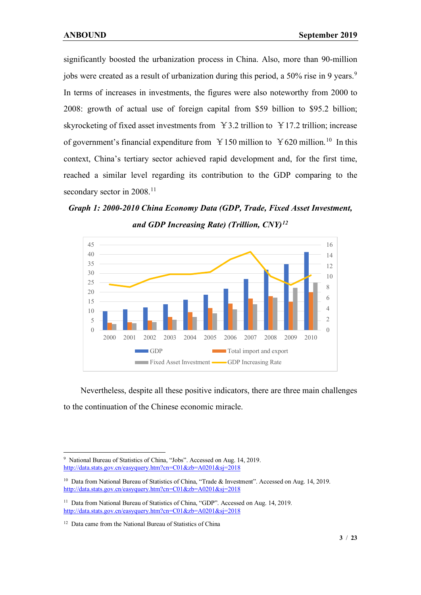significantly boosted the urbanization process in China. Also, more than 90-million jobs were created as a result of urbanization during this period, a 50% rise in [9](#page-2-0) years.<sup>9</sup> In terms of increases in investments, the figures were also noteworthy from 2000 to 2008: growth of actual use of foreign capital from \$59 billion to \$95.2 billion; skyrocketing of fixed asset investments from  $\angle 3.2$  trillion to  $\angle 17.2$  trillion; increase of government's financial expenditure from  $\frac{9}{2}$  150 million to  $\frac{9}{2}$  million.<sup>[10](#page-2-1)</sup> In this context, China's tertiary sector achieved rapid development and, for the first time, reached a similar level regarding its contribution to the GDP comparing to the secondary sector in 2008.<sup>[11](#page-2-2)</sup>

*Graph 1: 2000-2010 China Economy Data (GDP, Trade, Fixed Asset Investment, and GDP Increasing Rate) (Trillion, CNY)[12](#page-2-3)*



Nevertheless, despite all these positive indicators, there are three main challenges to the continuation of the Chinese economic miracle.

<span id="page-2-0"></span><sup>9</sup> National Bureau of Statistics of China, "Jobs". Accessed on Aug. 14, 2019. <http://data.stats.gov.cn/easyquery.htm?cn=C01&zb=A0201&sj=2018>

<span id="page-2-1"></span><sup>&</sup>lt;sup>10</sup> Data from National Bureau of Statistics of China, "Trade & Investment". Accessed on Aug. 14, 2019. <http://data.stats.gov.cn/easyquery.htm?cn=C01&zb=A0201&sj=2018>

<span id="page-2-2"></span><sup>&</sup>lt;sup>11</sup> Data from National Bureau of Statistics of China, "GDP". Accessed on Aug. 14, 2019. <http://data.stats.gov.cn/easyquery.htm?cn=C01&zb=A0201&sj=2018>

<span id="page-2-3"></span><sup>&</sup>lt;sup>12</sup> Data came from the National Bureau of Statistics of China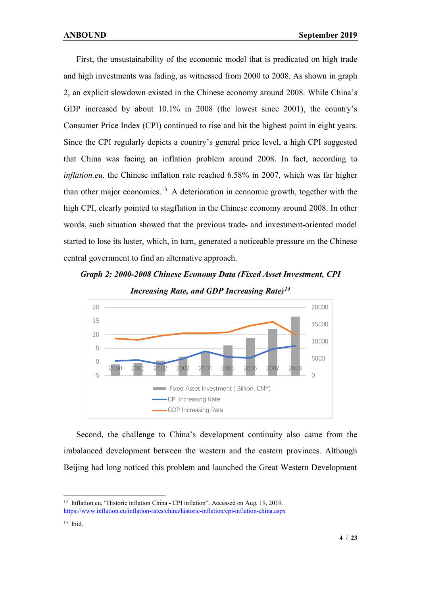First, the unsustainability of the economic model that is predicated on high trade and high investments was fading, as witnessed from 2000 to 2008. As shown in graph 2, an explicit slowdown existed in the Chinese economy around 2008. While China's GDP increased by about 10.1% in 2008 (the lowest since 2001), the country's Consumer Price Index (CPI) continued to rise and hit the highest point in eight years. Since the CPI regularly depicts a country's general price level, a high CPI suggested that China was facing an inflation problem around 2008. In fact, according to *inflation.eu,* the Chinese inflation rate reached 6.58% in 2007, which was far higher than other major economies.<sup>[13](#page-3-0)</sup> A deterioration in economic growth, together with the high CPI, clearly pointed to stagflation in the Chinese economy around 2008. In other words, such situation showed that the previous trade- and investment-oriented model started to lose its luster, which, in turn, generated a noticeable pressure on the Chinese central government to find an alternative approach.

# *Graph 2: 2000-2008 Chinese Economy Data (Fixed Asset Investment, CPI Increasing Rate, and GDP Increasing Rate)[14](#page-3-1)*



 Second, the challenge to China's development continuity also came from the imbalanced development between the western and the eastern provinces. Although Beijing had long noticed this problem and launched the Great Western Development

<span id="page-3-0"></span><sup>&</sup>lt;sup>13</sup> Inflation.eu, "Historic inflation China - CPI inflation". Accessed on Aug. 19, 2019. <https://www.inflation.eu/inflation-rates/china/historic-inflation/cpi-inflation-china.aspx>

<span id="page-3-1"></span> $14$  Ibid.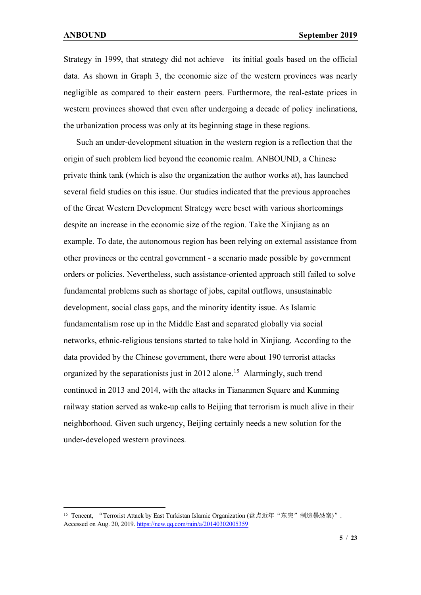Strategy in 1999, that strategy did not achieve its initial goals based on the official data. As shown in Graph 3, the economic size of the western provinces was nearly negligible as compared to their eastern peers. Furthermore, the real-estate prices in western provinces showed that even after undergoing a decade of policy inclinations, the urbanization process was only at its beginning stage in these regions.

 Such an under-development situation in the western region is a reflection that the origin of such problem lied beyond the economic realm. ANBOUND, a Chinese private think tank (which is also the organization the author works at), has launched several field studies on this issue. Our studies indicated that the previous approaches of the Great Western Development Strategy were beset with various shortcomings despite an increase in the economic size of the region. Take the Xinjiang as an example. To date, the autonomous region has been relying on external assistance from other provinces or the central government - a scenario made possible by government orders or policies. Nevertheless, such assistance-oriented approach still failed to solve fundamental problems such as shortage of jobs, capital outflows, unsustainable development, social class gaps, and the minority identity issue. As Islamic fundamentalism rose up in the Middle East and separated globally via social networks, ethnic-religious tensions started to take hold in Xinjiang. According to the data provided by the Chinese government, there were about 190 terrorist attacks organized by the separationists just in 2012 alone. [15](#page-4-0) Alarmingly, such trend continued in 2013 and 2014, with the attacks in Tiananmen Square and Kunming railway station served as wake-up calls to Beijing that terrorism is much alive in their neighborhood. Given such urgency, Beijing certainly needs a new solution for the under-developed western provinces.

<span id="page-4-0"></span><sup>15</sup> Tencent, "Terrorist Attack by East Turkistan Islamic Organization (盘点近年"东突"制造暴恐案)". Accessed on Aug. 20, 2019[. https://new.qq.com/rain/a/20140302005359](https://new.qq.com/rain/a/20140302005359)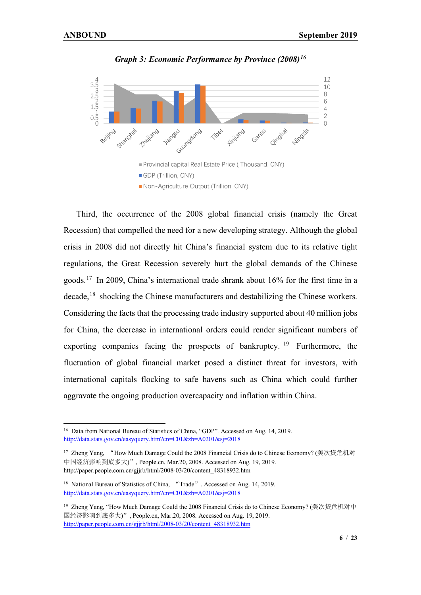

*Graph 3: Economic Performance by Province (2008)[16](#page-5-0)*

 Third, the occurrence of the 2008 global financial crisis (namely the Great Recession) that compelled the need for a new developing strategy. Although the global crisis in 2008 did not directly hit China's financial system due to its relative tight regulations, the Great Recession severely hurt the global demands of the Chinese goods.[17](#page-5-1) In 2009, China's international trade shrank about 16% for the first time in a decade, [18](#page-5-2) shocking the Chinese manufacturers and destabilizing the Chinese workers. Considering the facts that the processing trade industry supported about 40 million jobs for China, the decrease in international orders could render significant numbers of exporting companies facing the prospects of bankruptcy.  $19$  Furthermore, the fluctuation of global financial market posed a distinct threat for investors, with international capitals flocking to safe havens such as China which could further aggravate the ongoing production overcapacity and inflation within China.

<span id="page-5-0"></span><sup>&</sup>lt;sup>16</sup> Data from National Bureau of Statistics of China, "GDP". Accessed on Aug. 14, 2019. <http://data.stats.gov.cn/easyquery.htm?cn=C01&zb=A0201&sj=2018>

<span id="page-5-1"></span><sup>17</sup> Zheng Yang, "How Much Damage Could the 2008 Financial Crisis do to Chinese Economy? (美次贷危机对 中国经济影响到底多大)", People.cn, Mar.20, 2008. Accessed on Aug. 19, 2019. http://paper.people.com.cn/gjjrb/html/2008-03/20/content\_48318932.htm

<span id="page-5-2"></span><sup>&</sup>lt;sup>18</sup> National Bureau of Statistics of China, "Trade". Accessed on Aug. 14, 2019. <http://data.stats.gov.cn/easyquery.htm?cn=C01&zb=A0201&sj=2018>

<span id="page-5-3"></span><sup>19</sup> Zheng Yang, "How Much Damage Could the 2008 Financial Crisis do to Chinese Economy? (美次贷危机对中 国经济影响到底多大)", People.cn, Mar.20, 2008. Accessed on Aug. 19, 2019. [http://paper.people.com.cn/gjjrb/html/2008-03/20/content\\_48318932.htm](http://paper.people.com.cn/gjjrb/html/2008-03/20/content_48318932.htm)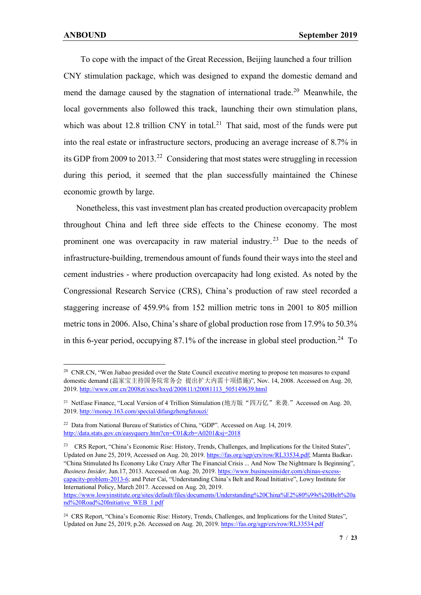To cope with the impact of the Great Recession, Beijing launched a four trillion CNY stimulation package, which was designed to expand the domestic demand and mend the damage caused by the stagnation of international trade.<sup>[20](#page-6-0)</sup> Meanwhile, the local governments also followed this track, launching their own stimulation plans, which was about 12.8 trillion CNY in total.<sup>[21](#page-6-1)</sup> That said, most of the funds were put into the real estate or infrastructure sectors, producing an average increase of 8.7% in its GDP from 2009 to 2013.<sup>[22](#page-6-2)</sup> Considering that most states were struggling in recession during this period, it seemed that the plan successfully maintained the Chinese economic growth by large.

 Nonetheless, this vast investment plan has created production overcapacity problem throughout China and left three side effects to the Chinese economy. The most prominent one was overcapacity in raw material industry.<sup>[23](#page-6-3)</sup> Due to the needs of infrastructure-building, tremendous amount of funds found their ways into the steel and cement industries - where production overcapacity had long existed. As noted by the Congressional Research Service (CRS), China's production of raw steel recorded a staggering increase of 459.9% from 152 million metric tons in 2001 to 805 million metric tons in 2006. Also, China's share of global production rose from 17.9% to 50.3% in this 6-year period, occupying  $87.1\%$  of the increase in global steel production.<sup>[24](#page-6-4)</sup> To

<span id="page-6-0"></span><sup>&</sup>lt;sup>20</sup> CNR.CN, "Wen Jiabao presided over the State Council executive meeting to propose ten measures to expand domestic demand (温家宝主持国务院常务会 提出扩大内需十项措施)", Nov. 14, 2008. Accessed on Aug. 20, 2019[. http://www.cnr.cn/2008zt/sxcs/hxyd/200811/t20081113\\_505149639.html](http://www.cnr.cn/2008zt/sxcs/hxyd/200811/t20081113_505149639.html)

<span id="page-6-1"></span><sup>&</sup>lt;sup>21</sup> NetEase Finance, "Local Version of 4 Trillion Stimulation (地方版"四万亿"来袭." Accessed on Aug. 20, 2019[. http://money.163.com/special/difangzhengfutouzi/](http://money.163.com/special/difangzhengfutouzi/)

<span id="page-6-2"></span><sup>22</sup> Data from National Bureau of Statistics of China, "GDP". Accessed on Aug. 14, 2019. <http://data.stats.gov.cn/easyquery.htm?cn=C01&zb=A0201&sj=2018>

<span id="page-6-3"></span><sup>23</sup> CRS Report, "China's Economic Rise: History, Trends, Challenges, and Implications for the United States", Updated on June 25, 2019, Accessed on Aug. 20, 2019[. https://fas.org/sgp/crs/row/RL33534.pdf;](https://fas.org/sgp/crs/row/RL33534.pdf) Mamta Badkar, "China Stimulated Its Economy Like Crazy After The Financial Crisis ... And Now The Nightmare Is Beginning", *Business Insider,* Jun.17, 2013. Accessed on Aug. 20, 2019. [https://www.businessinsider.com/chinas-excess](https://www.businessinsider.com/chinas-excess-capacity-problem-2013-6)[capacity-problem-2013-6;](https://www.businessinsider.com/chinas-excess-capacity-problem-2013-6) and Peter Cai, "Understanding China's Belt and Road Initiative", Lowy Institute for International Policy, March 2017. Accessed on Aug. 20, 2019. [https://www.lowyinstitute.org/sites/default/files/documents/Understanding%20China%E2%80%99s%20Belt%20a](https://www.lowyinstitute.org/sites/default/files/documents/Understanding%20China%E2%80%99s%20Belt%20and%20Road%20Initiative_WEB_1.pdf)

[nd%20Road%20Initiative\\_WEB\\_1.pdf](https://www.lowyinstitute.org/sites/default/files/documents/Understanding%20China%E2%80%99s%20Belt%20and%20Road%20Initiative_WEB_1.pdf)

<span id="page-6-4"></span><sup>&</sup>lt;sup>24</sup> CRS Report, "China's Economic Rise: History, Trends, Challenges, and Implications for the United States", Updated on June 25, 2019, p.26. Accessed on Aug. 20, 2019[. https://fas.org/sgp/crs/row/RL33534.pdf](https://fas.org/sgp/crs/row/RL33534.pdf)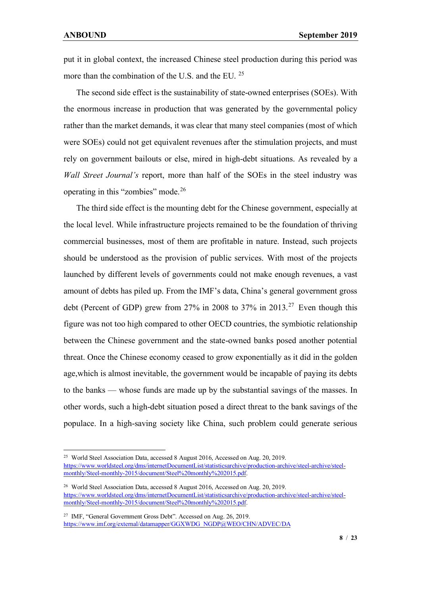put it in global context, the increased Chinese steel production during this period was more than the combination of the U.S. and the EU. [25](#page-7-0)

 The second side effect is the sustainability of state-owned enterprises (SOEs). With the enormous increase in production that was generated by the governmental policy rather than the market demands, it was clear that many steel companies (most of which were SOEs) could not get equivalent revenues after the stimulation projects, and must rely on government bailouts or else, mired in high-debt situations. As revealed by a *Wall Street Journal's* report, more than half of the SOEs in the steel industry was operating in this "zombies" mode.[26](#page-7-1)

 The third side effect is the mounting debt for the Chinese government, especially at the local level. While infrastructure projects remained to be the foundation of thriving commercial businesses, most of them are profitable in nature. Instead, such projects should be understood as the provision of public services. With most of the projects launched by different levels of governments could not make enough revenues, a vast amount of debts has piled up. From the IMF's data, China's general government gross debt (Percent of GDP) grew from 27% in 2008 to 37% in 2013. [27](#page-7-2) Even though this figure was not too high compared to other OECD countries, the symbiotic relationship between the Chinese government and the state-owned banks posed another potential threat. Once the Chinese economy ceased to grow exponentially as it did in the golden age,which is almost inevitable, the government would be incapable of paying its debts to the banks ⸺ whose funds are made up by the substantial savings of the masses. In other words, such a high-debt situation posed a direct threat to the bank savings of the populace. In a high-saving society like China, such problem could generate serious

<span id="page-7-0"></span><sup>25</sup> World Steel Association Data, accessed 8 August 2016, Accessed on Aug. 20, 2019. [https://www.worldsteel.org/dms/internetDocumentList/statisticsarchive/production-archive/steel-archive/steel](https://www.worldsteel.org/dms/internetDocumentList/statisticsarchive/production-archive/steel-archive/steel-monthly/Steel-monthly-2015/document/Steel%20monthly%202015.pdf)[monthly/Steel-monthly-2015/document/Steel%20monthly%202015.pdf.](https://www.worldsteel.org/dms/internetDocumentList/statisticsarchive/production-archive/steel-archive/steel-monthly/Steel-monthly-2015/document/Steel%20monthly%202015.pdf)

<span id="page-7-1"></span><sup>26</sup> World Steel Association Data, accessed 8 August 2016, Accessed on Aug. 20, 2019. [https://www.worldsteel.org/dms/internetDocumentList/statisticsarchive/production-archive/steel-archive/steel](https://www.worldsteel.org/dms/internetDocumentList/statisticsarchive/production-archive/steel-archive/steel-monthly/Steel-monthly-2015/document/Steel%20monthly%202015.pdf)[monthly/Steel-monthly-2015/document/Steel%20monthly%202015.pdf.](https://www.worldsteel.org/dms/internetDocumentList/statisticsarchive/production-archive/steel-archive/steel-monthly/Steel-monthly-2015/document/Steel%20monthly%202015.pdf)

<span id="page-7-2"></span><sup>27</sup> IMF, "General Government Gross Debt". Accessed on Aug. 26, 2019. [https://www.imf.org/external/datamapper/GGXWDG\\_NGDP@WEO/CHN/ADVEC/DA](https://www.imf.org/external/datamapper/GGXWDG_NGDP@WEO/CHN/ADVEC/DA)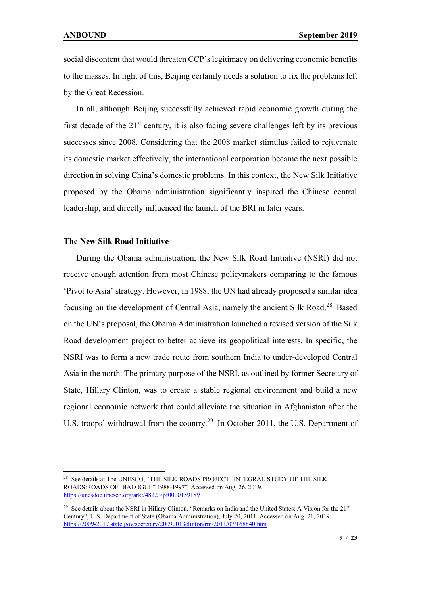social discontent that would threaten CCP's legitimacy on delivering economic benefits to the masses. In light of this, Beijing certainly needs a solution to fix the problems left by the Great Recession.

 In all, although Beijing successfully achieved rapid economic growth during the first decade of the  $21<sup>st</sup>$  century, it is also facing severe challenges left by its previous successes since 2008. Considering that the 2008 market stimulus failed to rejuvenate its domestic market effectively, the international corporation became the next possible direction in solving China's domestic problems. In this context, the New Silk Initiative proposed by the Obama administration significantly inspired the Chinese central leadership, and directly influenced the launch of the BRI in later years.

#### **The New Silk Road Initiative**

 During the Obama administration, the New Silk Road Initiative (NSRI) did not receive enough attention from most Chinese policymakers comparing to the famous 'Pivot to Asia' strategy. However, in 1988, the UN had already proposed a similar idea focusing on the development of Central Asia, namely the ancient Silk Road.[28](#page-8-0) Based on the UN's proposal, the Obama Administration launched a revised version of the Silk Road development project to better achieve its geopolitical interests. In specific, the NSRI was to form a new trade route from southern India to under-developed Central Asia in the north. The primary purpose of the NSRI, as outlined by former Secretary of State, Hillary Clinton, was to create a stable regional environment and build a new regional economic network that could alleviate the situation in Afghanistan after the U.S. troops' withdrawal from the country.<sup>[29](#page-8-1)</sup> In October 2011, the U.S. Department of

<span id="page-8-0"></span><sup>&</sup>lt;sup>28</sup> See details at The UNESCO, "THE SILK ROADS PROJECT "INTEGRAL STUDY OF THE SILK ROADS:ROADS OF DIALOGUE" 1988-1997". Accessed on Aug. 26, 2019. <https://unesdoc.unesco.org/ark:/48223/pf0000159189>

<span id="page-8-1"></span><sup>&</sup>lt;sup>29</sup> See details about the NSRI in Hillary Clinton, "Remarks on India and the United States: A Vision for the 21<sup>st</sup> Century", U.S. Department of State (Obama Administration), July 20, 2011. Accessed on Aug. 21, 2019. <https://2009-2017.state.gov/secretary/20092013clinton/rm/2011/07/168840.htm>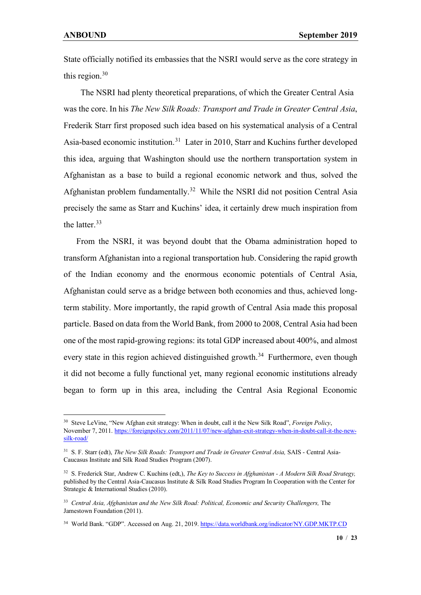State officially notified its embassies that the NSRI would serve as the core strategy in this region. [30](#page-9-0)

The NSRI had plenty theoretical preparations, of which the Greater Central Asia was the core. In his *The New Silk Roads: Transport and Trade in Greater Central Asia*, Frederik Starr first proposed such idea based on his systematical analysis of a Central Asia-based economic institution.[31](#page-9-1) Later in 2010, Starr and Kuchins further developed this idea, arguing that Washington should use the northern transportation system in Afghanistan as a base to build a regional economic network and thus, solved the Afghanistan problem fundamentally.<sup>[32](#page-9-2)</sup> While the NSRI did not position Central Asia precisely the same as Starr and Kuchins' idea, it certainly drew much inspiration from the latter.[33](#page-9-3)

 From the NSRI, it was beyond doubt that the Obama administration hoped to transform Afghanistan into a regional transportation hub. Considering the rapid growth of the Indian economy and the enormous economic potentials of Central Asia, Afghanistan could serve as a bridge between both economies and thus, achieved longterm stability. More importantly, the rapid growth of Central Asia made this proposal particle. Based on data from the World Bank, from 2000 to 2008, Central Asia had been one of the most rapid-growing regions: its total GDP increased about 400%, and almost every state in this region achieved distinguished growth.<sup>[34](#page-9-4)</sup> Furthermore, even though it did not become a fully functional yet, many regional economic institutions already began to form up in this area, including the Central Asia Regional Economic

<span id="page-9-0"></span><sup>30</sup> Steve LeVine, "New Afghan exit strategy: When in doubt, call it the New Silk Road", *Foreign Policy*, November 7, 2011[. https://foreignpolicy.com/2011/11/07/new-afghan-exit-strategy-when-in-doubt-call-it-the-new](https://foreignpolicy.com/2011/11/07/new-afghan-exit-strategy-when-in-doubt-call-it-the-new-silk-road/)[silk-road/](https://foreignpolicy.com/2011/11/07/new-afghan-exit-strategy-when-in-doubt-call-it-the-new-silk-road/)

<span id="page-9-1"></span><sup>31</sup> S. F. Starr (edt), *The New Silk Roads: Transport and Trade in Greater Central Asia,* SAIS - Central Asia-Caucasus Institute and Silk Road Studies Program (2007).

<span id="page-9-2"></span><sup>32</sup> S. Frederick Star, Andrew C. Kuchins (edt,), *The Key to Success in Afghanistan - A Modern Silk Road Strategy,*  published by the Central Asia-Caucasus Institute & Silk Road Studies Program In Cooperation with the Center for Strategic & International Studies (2010).

<span id="page-9-3"></span><sup>33</sup> *Central Asia, Afghanistan and the New Silk Road: Political, Economic and Security Challengers,* The Jamestown Foundation (2011).

<span id="page-9-4"></span><sup>34</sup> World Bank. "GDP". Accessed on Aug. 21, 2019[. https://data.worldbank.org/indicator/NY.GDP.MKTP.CD](https://data.worldbank.org/indicator/NY.GDP.MKTP.CD)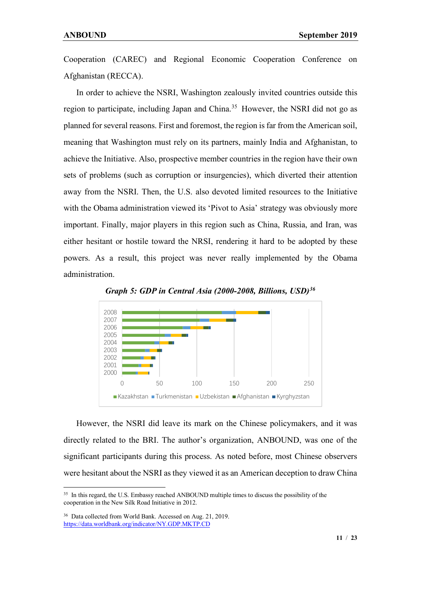Cooperation (CAREC) and Regional Economic Cooperation Conference on Afghanistan (RECCA).

 In order to achieve the NSRI, Washington zealously invited countries outside this region to participate, including Japan and China.<sup>[35](#page-10-0)</sup> However, the NSRI did not go as planned for several reasons. First and foremost, the region is far from the American soil, meaning that Washington must rely on its partners, mainly India and Afghanistan, to achieve the Initiative. Also, prospective member countries in the region have their own sets of problems (such as corruption or insurgencies), which diverted their attention away from the NSRI. Then, the U.S. also devoted limited resources to the Initiative with the Obama administration viewed its 'Pivot to Asia' strategy was obviously more important. Finally, major players in this region such as China, Russia, and Iran, was either hesitant or hostile toward the NRSI, rendering it hard to be adopted by these powers. As a result, this project was never really implemented by the Obama administration.



*Graph 5: GDP in Central Asia (2000-2008, Billions, USD)[36](#page-10-1)*

 However, the NSRI did leave its mark on the Chinese policymakers, and it was directly related to the BRI. The author's organization, ANBOUND, was one of the significant participants during this process. As noted before, most Chinese observers were hesitant about the NSRI as they viewed it as an American deception to draw China

<span id="page-10-0"></span><sup>&</sup>lt;sup>35</sup> In this regard, the U.S. Embassy reached ANBOUND multiple times to discuss the possibility of the cooperation in the New Silk Road Initiative in 2012.

<span id="page-10-1"></span><sup>36</sup> Data collected from World Bank. Accessed on Aug. 21, 2019. <https://data.worldbank.org/indicator/NY.GDP.MKTP.CD>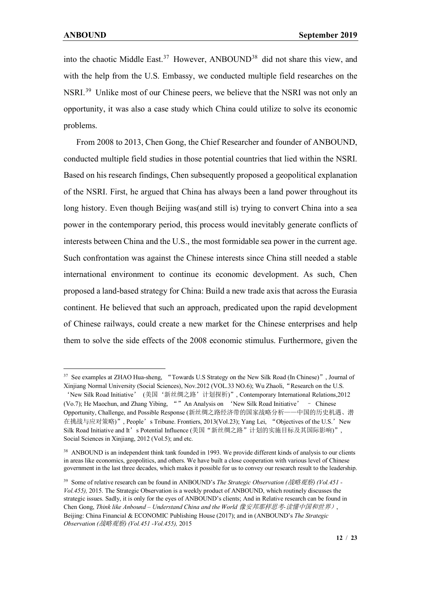into the chaotic Middle East.<sup>[37](#page-11-0)</sup> However, ANBOUND<sup>[38](#page-11-1)</sup> did not share this view, and with the help from the U.S. Embassy, we conducted multiple field researches on the NSRI.[39](#page-11-2) Unlike most of our Chinese peers, we believe that the NSRI was not only an opportunity, it was also a case study which China could utilize to solve its economic problems.

 From 2008 to 2013, Chen Gong, the Chief Researcher and founder of ANBOUND, conducted multiple field studies in those potential countries that lied within the NSRI. Based on his research findings, Chen subsequently proposed a geopolitical explanation of the NSRI. First, he argued that China has always been a land power throughout its long history. Even though Beijing was (and still is) trying to convert China into a sea power in the contemporary period, this process would inevitably generate conflicts of interests between China and the U.S., the most formidable sea power in the current age. Such confrontation was against the Chinese interests since China still needed a stable international environment to continue its economic development. As such, Chen proposed a land-based strategy for China: Build a new trade axis that across the Eurasia continent. He believed that such an approach, predicated upon the rapid development of Chinese railways, could create a new market for the Chinese enterprises and help them to solve the side effects of the 2008 economic stimulus. Furthermore, given the

<span id="page-11-0"></span><sup>&</sup>lt;sup>37</sup> See examples at ZHAO Hua-sheng, "Towards U.S Strategy on the New Silk Road (In Chinese)", Journal of Xinjiang Normal University (Social Sciences), Nov.2012 (VOL.33 NO.6); Wu Zhaoli, "Research on the U.S.

<sup>&#</sup>x27;New Silk Road Initiative' (美国'新丝绸之路'计划探析)", Contemporary International Relations,2012 (Vo.7); He Maochun, and Zhang Yibing, ""An Analysis on 'New Silk Road Initiative' – Chinese Opportunity, Challenge, and Possible Response (新丝绸之路经济带的国家战略分析——中国的历史机遇、潜 在挑战与应对策略)", People's Tribune. Frontiers, 2013(Vol.23); Yang Lei, "Objectives of the U.S.'New Silk Road Initiative and It' s Potential Influence (美国"新丝绸之路"计划的实施目标及其国际影响)", Social Sciences in Xiniiang, 2012 (Vol.5); and etc.

<span id="page-11-1"></span><sup>&</sup>lt;sup>38</sup> ANBOUND is an independent think tank founded in 1993. We provide different kinds of analysis to our clients in areas like economics, geopolitics, and others. We have built a close cooperation with various level of Chinese government in the last three decades, which makes it possible for us to convey our research result to the leadership.

<span id="page-11-2"></span><sup>39</sup> Some of relative research can be found in ANBOUND's *The Strategic Observation (*战略观察*) (Vol.451 - Vol.455),* 2015. The Strategic Observation is a weekly product of ANBOUND, which routinely discusses the strategic issues. Sadly, it is only for the eyes of ANBOUND's clients; And in Relative research can be found in Chen Gong, *Think like Anbound – Understand China and the World* 像安邦那样思考*-*读懂中国和世界), Beijing: China Financial & ECONOMIC Publishing House (2017); and in (ANBOUND's *The Strategic Observation (*战略观察*) (Vol.451 -Vol.455),* 2015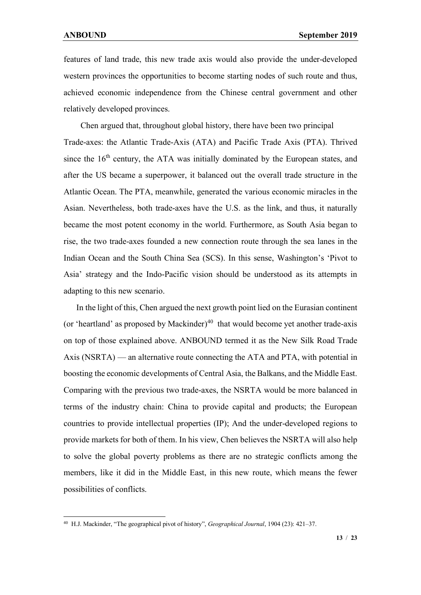features of land trade, this new trade axis would also provide the under-developed western provinces the opportunities to become starting nodes of such route and thus, achieved economic independence from the Chinese central government and other relatively developed provinces.

Chen argued that, throughout global history, there have been two principal Trade-axes: the Atlantic Trade-Axis (ATA) and Pacific Trade Axis (PTA). Thrived since the  $16<sup>th</sup>$  century, the ATA was initially dominated by the European states, and after the US became a superpower, it balanced out the overall trade structure in the Atlantic Ocean. The PTA, meanwhile, generated the various economic miracles in the Asian. Nevertheless, both trade-axes have the U.S. as the link, and thus, it naturally became the most potent economy in the world. Furthermore, as South Asia began to rise, the two trade-axes founded a new connection route through the sea lanes in the Indian Ocean and the South China Sea (SCS). In this sense, Washington's 'Pivot to Asia' strategy and the Indo-Pacific vision should be understood as its attempts in adapting to this new scenario.

 In the light of this, Chen argued the next growth point lied on the Eurasian continent (or 'heartland' as proposed by Mackinder)<sup>[40](#page-12-0)</sup> that would become yet another trade-axis on top of those explained above. ANBOUND termed it as the New Silk Road Trade Axis (NSRTA) — an alternative route connecting the ATA and PTA, with potential in boosting the economic developments of Central Asia, the Balkans, and the Middle East. Comparing with the previous two trade-axes, the NSRTA would be more balanced in terms of the industry chain: China to provide capital and products; the European countries to provide intellectual properties (IP); And the under-developed regions to provide markets for both of them. In his view, Chen believes the NSRTA will also help to solve the global poverty problems as there are no strategic conflicts among the members, like it did in the Middle East, in this new route, which means the fewer possibilities of conflicts.

<span id="page-12-0"></span><sup>40</sup> H.J. Mackinder, "The geographical pivot of history", *Geographical Journal*, 1904 (23): 421–37.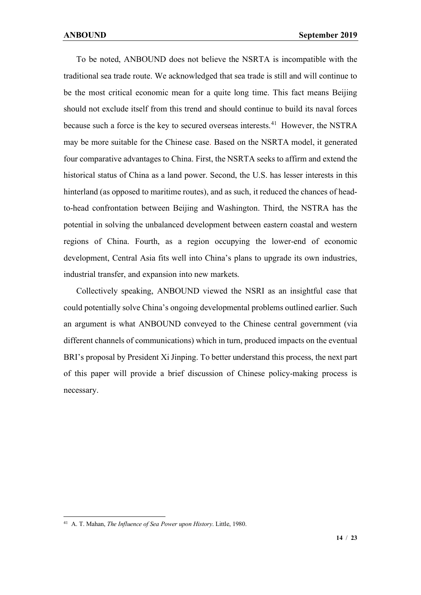To be noted, ANBOUND does not believe the NSRTA is incompatible with the traditional sea trade route. We acknowledged that sea trade is still and will continue to be the most critical economic mean for a quite long time. This fact means Beijing should not exclude itself from this trend and should continue to build its naval forces because such a force is the key to secured overseas interests.<sup>[41](#page-13-0)</sup> However, the NSTRA may be more suitable for the Chinese case. Based on the NSRTA model, it generated four comparative advantages to China. First, the NSRTA seeks to affirm and extend the historical status of China as a land power. Second, the U.S. has lesser interests in this hinterland (as opposed to maritime routes), and as such, it reduced the chances of headto-head confrontation between Beijing and Washington. Third, the NSTRA has the potential in solving the unbalanced development between eastern coastal and western regions of China. Fourth, as a region occupying the lower-end of economic development, Central Asia fits well into China's plans to upgrade its own industries, industrial transfer, and expansion into new markets.

 Collectively speaking, ANBOUND viewed the NSRI as an insightful case that could potentially solve China's ongoing developmental problems outlined earlier. Such an argument is what ANBOUND conveyed to the Chinese central government (via different channels of communications) which in turn, produced impacts on the eventual BRI's proposal by President Xi Jinping. To better understand this process, the next part of this paper will provide a brief discussion of Chinese policy-making process is necessary.

<span id="page-13-0"></span><sup>41</sup> A. T. Mahan, *The Influence of Sea Power upon History*. Little, 1980.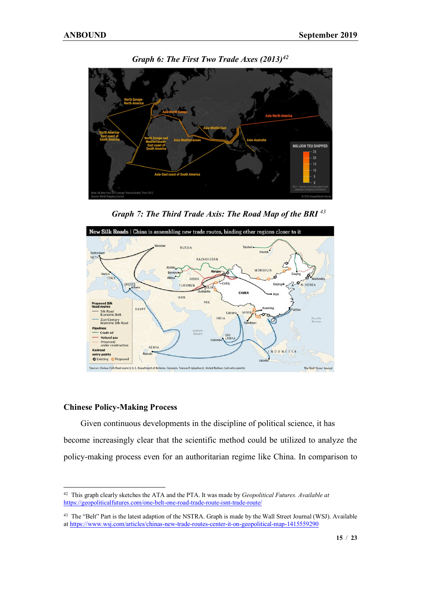

*Graph 6: The First Two Trade Axes (2013)[42](#page-14-0)*

*Graph 7: The Third Trade Axis: The Road Map of the BRI [43](#page-14-1)*



#### **Chinese Policy-Making Process**

Given continuous developments in the discipline of political science, it has become increasingly clear that the scientific method could be utilized to analyze the policy-making process even for an authoritarian regime like China. In comparison to

<span id="page-14-0"></span><sup>42</sup> This graph clearly sketches the ATA and the PTA. It was made by *Geopolitical Futures. Available at*  <https://geopoliticalfutures.com/one-belt-one-road-trade-route-isnt-trade-route/>

<span id="page-14-1"></span><sup>43</sup> The "Belt" Part is the latest adaption of the NSTRA. Graph is made by the Wall Street Journal (WSJ). Available a[t https://www.wsj.com/articles/chinas-new-trade-routes-center-it-on-geopolitical-map-1415559290](https://www.wsj.com/articles/chinas-new-trade-routes-center-it-on-geopolitical-map-1415559290)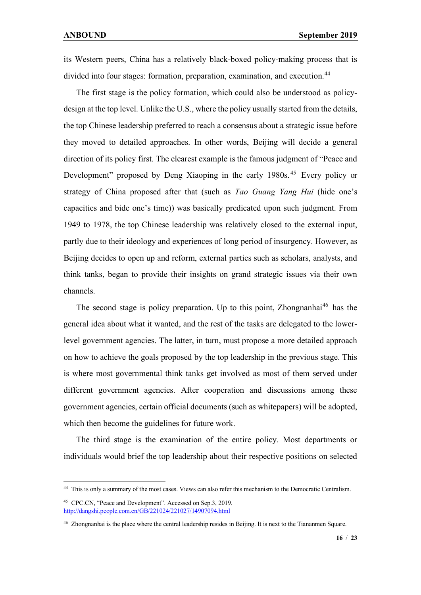its Western peers, China has a relatively black-boxed policy-making process that is divided into four stages: formation, preparation, examination, and execution.<sup>[44](#page-15-0)</sup>

 The first stage is the policy formation, which could also be understood as policydesign at the top level. Unlike the U.S., where the policy usually started from the details, the top Chinese leadership preferred to reach a consensus about a strategic issue before they moved to detailed approaches. In other words, Beijing will decide a general direction of its policy first. The clearest example is the famous judgment of "Peace and Development" proposed by Deng Xiaoping in the early 1980s.<sup>[45](#page-15-1)</sup> Every policy or strategy of China proposed after that (such as *Tao Guang Yang Hui* (hide one's capacities and bide one's time)) was basically predicated upon such judgment. From 1949 to 1978, the top Chinese leadership was relatively closed to the external input, partly due to their ideology and experiences of long period of insurgency. However, as Beijing decides to open up and reform, external parties such as scholars, analysts, and think tanks, began to provide their insights on grand strategic issues via their own channels.

The second stage is policy preparation. Up to this point, Zhongnanhai<sup>[46](#page-15-2)</sup> has the general idea about what it wanted, and the rest of the tasks are delegated to the lowerlevel government agencies. The latter, in turn, must propose a more detailed approach on how to achieve the goals proposed by the top leadership in the previous stage. This is where most governmental think tanks get involved as most of them served under different government agencies. After cooperation and discussions among these government agencies, certain official documents (such as whitepapers) will be adopted, which then become the guidelines for future work.

 The third stage is the examination of the entire policy. Most departments or individuals would brief the top leadership about their respective positions on selected

<span id="page-15-0"></span><sup>44</sup> This is only a summary of the most cases. Views can also refer this mechanism to the Democratic Centralism.

<span id="page-15-1"></span><sup>45</sup> CPC.CN, "Peace and Development". Accessed on Sep.3, 2019. <http://dangshi.people.com.cn/GB/221024/221027/14907094.html>

<span id="page-15-2"></span><sup>&</sup>lt;sup>46</sup> Zhongnanhai is the place where the central leadership resides in Beijing. It is next to the Tiananmen Square.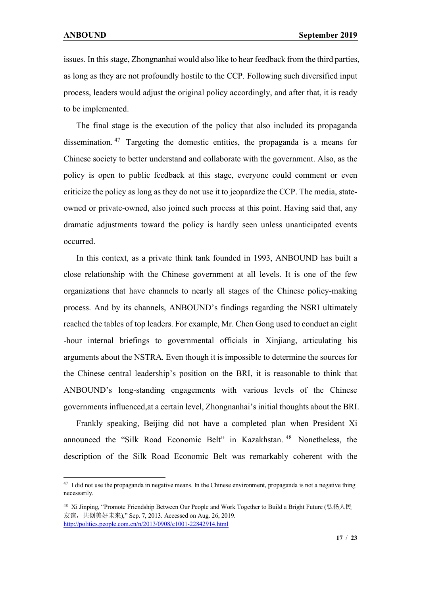issues. In this stage, Zhongnanhai would also like to hear feedback from the third parties, as long as they are not profoundly hostile to the CCP. Following such diversified input process, leaders would adjust the original policy accordingly, and after that, it is ready to be implemented.

 The final stage is the execution of the policy that also included its propaganda dissemination. [47](#page-16-0) Targeting the domestic entities, the propaganda is a means for Chinese society to better understand and collaborate with the government. Also, as the policy is open to public feedback at this stage, everyone could comment or even criticize the policy as long as they do not use it to jeopardize the CCP. The media, stateowned or private-owned, also joined such process at this point. Having said that, any dramatic adjustments toward the policy is hardly seen unless unanticipated events occurred.

 In this context, as a private think tank founded in 1993, ANBOUND has built a close relationship with the Chinese government at all levels. It is one of the few organizations that have channels to nearly all stages of the Chinese policy-making process. And by its channels, ANBOUND's findings regarding the NSRI ultimately reached the tables of top leaders. For example, Mr. Chen Gong used to conduct an eight -hour internal briefings to governmental officials in Xinjiang, articulating his arguments about the NSTRA. Even though it is impossible to determine the sources for the Chinese central leadership's position on the BRI, it is reasonable to think that ANBOUND's long-standing engagements with various levels of the Chinese governments influenced,at a certain level, Zhongnanhai's initial thoughts about the BRI.

 Frankly speaking, Beijing did not have a completed plan when President Xi announced the "Silk Road Economic Belt" in Kazakhstan. [48](#page-16-1) Nonetheless, the description of the Silk Road Economic Belt was remarkably coherent with the

<span id="page-16-0"></span><sup>&</sup>lt;sup>47</sup> I did not use the propaganda in negative means. In the Chinese environment, propaganda is not a negative thing necessarily.

<span id="page-16-1"></span><sup>48</sup> Xi Jinping, "Promote Friendship Between Our People and Work Together to Build a Bright Future (弘扬人民 友谊, 共创美好未来)," Sep. 7, 2013. Accessed on Aug. 26, 2019. <http://politics.people.com.cn/n/2013/0908/c1001-22842914.html>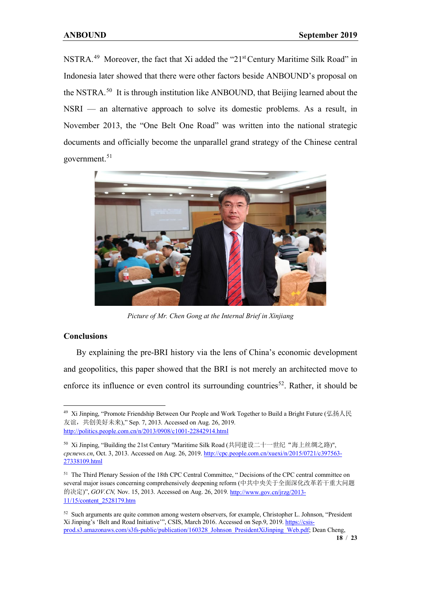NSTRA.[49](#page-17-0) Moreover, the fact that Xi added the "21st Century Maritime Silk Road" in Indonesia later showed that there were other factors beside ANBOUND's proposal on the NSTRA.<sup>[50](#page-17-1)</sup> It is through institution like ANBOUND, that Beijing learned about the NSRI — an alternative approach to solve its domestic problems. As a result, in November 2013, the "One Belt One Road" was written into the national strategic documents and officially become the unparallel grand strategy of the Chinese central government. [51](#page-17-2)



*Picture of Mr. Chen Gong at the Internal Brief in Xinjiang*

## **Conclusions**

 By explaining the pre-BRI history via the lens of China's economic development and geopolitics, this paper showed that the BRI is not merely an architected move to enforce its influence or even control its surrounding countries<sup>[52](#page-17-3)</sup>. Rather, it should be

<span id="page-17-0"></span><sup>&</sup>lt;sup>49</sup> Xi Jinping, "Promote Friendship Between Our People and Work Together to Build a Bright Future (弘扬人民 友谊, 共创美好未来)," Sep. 7, 2013. Accessed on Aug. 26, 2019. <http://politics.people.com.cn/n/2013/0908/c1001-22842914.html>

<span id="page-17-1"></span><sup>50</sup> Xi Jinping, "Building the 21st Century "Maritime Silk Road (共同建设二十一世纪"海上丝绸之路)", *cpcnews.cn*, Oct. 3, 2013. Accessed on Aug. 26, 2019. [http://cpc.people.com.cn/xuexi/n/2015/0721/c397563-](http://cpc.people.com.cn/xuexi/n/2015/0721/c397563-27338109.html) [27338109.html](http://cpc.people.com.cn/xuexi/n/2015/0721/c397563-27338109.html)

<span id="page-17-2"></span><sup>51</sup> The Third Plenary Session of the 18th CPC Central Committee, " Decisions of the CPC central committee on several major issues concerning comprehensively deepening reform (中共中央关于全面深化改革若干重大问题 的决定)", *GOV.CN,* Nov. 15, 2013. Accessed on Aug. 26, 2019*.* [http://www.gov.cn/jrzg/2013-](http://www.gov.cn/jrzg/2013-11/15/content_2528179.htm) [11/15/content\\_2528179.htm](http://www.gov.cn/jrzg/2013-11/15/content_2528179.htm)

<span id="page-17-3"></span><sup>&</sup>lt;sup>52</sup> Such arguments are quite common among western observers, for example, Christopher L. Johnson, "President Xi Jinping's 'Belt and Road Initiative'", CSIS, March 2016. Accessed on Sep.9, 2019[. https://csis](https://csis-prod.s3.amazonaws.com/s3fs-public/publication/160328_Johnson_PresidentXiJinping_Web.pdf)[prod.s3.amazonaws.com/s3fs-public/publication/160328\\_Johnson\\_PresidentXiJinping\\_Web.pdf;](https://csis-prod.s3.amazonaws.com/s3fs-public/publication/160328_Johnson_PresidentXiJinping_Web.pdf) Dean Cheng,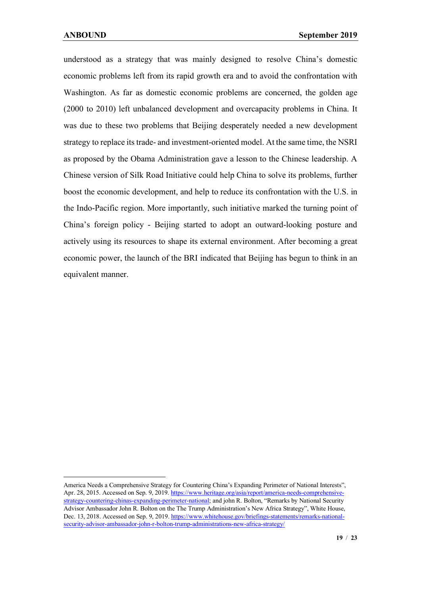understood as a strategy that was mainly designed to resolve China's domestic economic problems left from its rapid growth era and to avoid the confrontation with Washington. As far as domestic economic problems are concerned, the golden age (2000 to 2010) left unbalanced development and overcapacity problems in China. It was due to these two problems that Beijing desperately needed a new development strategy to replace its trade- and investment-oriented model. At the same time, the NSRI as proposed by the Obama Administration gave a lesson to the Chinese leadership. A Chinese version of Silk Road Initiative could help China to solve its problems, further boost the economic development, and help to reduce its confrontation with the U.S. in the Indo-Pacific region. More importantly, such initiative marked the turning point of China's foreign policy - Beijing started to adopt an outward-looking posture and actively using its resources to shape its external environment. After becoming a great economic power, the launch of the BRI indicated that Beijing has begun to think in an equivalent manner.

America Needs a Comprehensive Strategy for Countering China's Expanding Perimeter of National Interests", Apr. 28, 2015. Accessed on Sep. 9, 2019[. https://www.heritage.org/asia/report/america-needs-comprehensive](https://www.heritage.org/asia/report/america-needs-comprehensive-strategy-countering-chinas-expanding-perimeter-national)[strategy-countering-chinas-expanding-perimeter-national;](https://www.heritage.org/asia/report/america-needs-comprehensive-strategy-countering-chinas-expanding-perimeter-national) and john R. Bolton, "Remarks by National Security Advisor Ambassador John R. Bolton on the The Trump Administration's New Africa Strategy", White House, Dec. 13, 2018. Accessed on Sep. 9, 2019. [https://www.whitehouse.gov/briefings-statements/remarks-national](https://www.whitehouse.gov/briefings-statements/remarks-national-security-advisor-ambassador-john-r-bolton-trump-administrations-new-africa-strategy/)[security-advisor-ambassador-john-r-bolton-trump-administrations-new-africa-strategy/](https://www.whitehouse.gov/briefings-statements/remarks-national-security-advisor-ambassador-john-r-bolton-trump-administrations-new-africa-strategy/)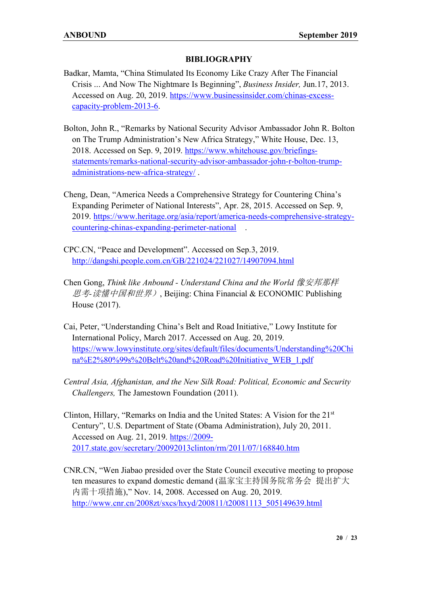## **BIBLIOGRAPHY**

- Badkar, Mamta, "China Stimulated Its Economy Like Crazy After The Financial Crisis ... And Now The Nightmare Is Beginning", *Business Insider,* Jun.17, 2013. Accessed on Aug. 20, 2019. [https://www.businessinsider.com/chinas-excess](https://www.businessinsider.com/chinas-excess-capacity-problem-2013-6)[capacity-problem-2013-6.](https://www.businessinsider.com/chinas-excess-capacity-problem-2013-6)
- Bolton, John R., "Remarks by National Security Advisor Ambassador John R. Bolton on The Trump Administration's New Africa Strategy," White House, Dec. 13, 2018. Accessed on Sep. 9, 2019. [https://www.whitehouse.gov/briefings](https://www.whitehouse.gov/briefings-statements/remarks-national-security-advisor-ambassador-john-r-bolton-trump-administrations-new-africa-strategy/)[statements/remarks-national-security-advisor-ambassador-john-r-bolton-trump](https://www.whitehouse.gov/briefings-statements/remarks-national-security-advisor-ambassador-john-r-bolton-trump-administrations-new-africa-strategy/)[administrations-new-africa-strategy/](https://www.whitehouse.gov/briefings-statements/remarks-national-security-advisor-ambassador-john-r-bolton-trump-administrations-new-africa-strategy/) .
- Cheng, Dean, "America Needs a Comprehensive Strategy for Countering China's Expanding Perimeter of National Interests", Apr. 28, 2015. Accessed on Sep. 9, 2019. [https://www.heritage.org/asia/report/america-needs-comprehensive-strategy](https://www.heritage.org/asia/report/america-needs-comprehensive-strategy-countering-chinas-expanding-perimeter-national)[countering-chinas-expanding-perimeter-national](https://www.heritage.org/asia/report/america-needs-comprehensive-strategy-countering-chinas-expanding-perimeter-national) .
- CPC.CN, "Peace and Development". Accessed on Sep.3, 2019. <http://dangshi.people.com.cn/GB/221024/221027/14907094.html>
- Chen Gong, *Think like Anbound - Understand China and the World* 像安邦那样 思考*-*读懂中国和世界), Beijing: China Financial & ECONOMIC Publishing House (2017).
- Cai, Peter, "Understanding China's Belt and Road Initiative," Lowy Institute for International Policy, March 2017. Accessed on Aug. 20, 2019. [https://www.lowyinstitute.org/sites/default/files/documents/Understanding%20Chi](https://www.lowyinstitute.org/sites/default/files/documents/Understanding%20China%E2%80%99s%20Belt%20and%20Road%20Initiative_WEB_1.pdf) [na%E2%80%99s%20Belt%20and%20Road%20Initiative\\_WEB\\_1.pdf](https://www.lowyinstitute.org/sites/default/files/documents/Understanding%20China%E2%80%99s%20Belt%20and%20Road%20Initiative_WEB_1.pdf)
- *Central Asia, Afghanistan, and the New Silk Road: Political, Economic and Security Challengers,* The Jamestown Foundation (2011).
- Clinton, Hillary, "Remarks on India and the United States: A Vision for the  $21<sup>st</sup>$ Century", U.S. Department of State (Obama Administration), July 20, 2011. Accessed on Aug. 21, 2019. [https://2009-](https://2009-2017.state.gov/secretary/20092013clinton/rm/2011/07/168840.htm) [2017.state.gov/secretary/20092013clinton/rm/2011/07/168840.htm](https://2009-2017.state.gov/secretary/20092013clinton/rm/2011/07/168840.htm)
- CNR.CN, "Wen Jiabao presided over the State Council executive meeting to propose ten measures to expand domestic demand (温家宝主持国务院常务会 提出扩大 内需十项措施)," Nov. 14, 2008. Accessed on Aug. 20, 2019. [http://www.cnr.cn/2008zt/sxcs/hxyd/200811/t20081113\\_505149639.html](http://www.cnr.cn/2008zt/sxcs/hxyd/200811/t20081113_505149639.html)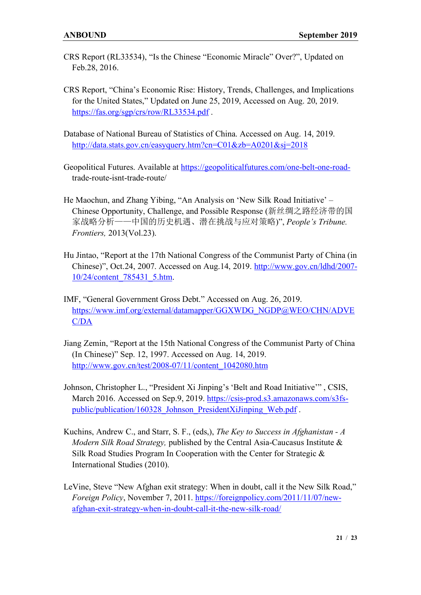- CRS Report (RL33534), "Is the Chinese "Economic Miracle" Over?", Updated on Feb.28, 2016.
- CRS Report, "China's Economic Rise: History, Trends, Challenges, and Implications for the United States," Updated on June 25, 2019, Accessed on Aug. 20, 2019. <https://fas.org/sgp/crs/row/RL33534.pdf> .
- Database of National Bureau of Statistics of China. Accessed on Aug. 14, 2019. <http://data.stats.gov.cn/easyquery.htm?cn=C01&zb=A0201&sj=2018>
- Geopolitical Futures. Available at [https://geopoliticalfutures.com/one-belt-one-road](https://geopoliticalfutures.com/one-belt-one-road-)trade-route-isnt-trade-route/
- He Maochun, and Zhang Yibing, "An Analysis on 'New Silk Road Initiative' Chinese Opportunity, Challenge, and Possible Response (新丝绸之路经济带的国 家战略分析——中国的历史机遇、潜在挑战与应对策略)", *People's Tribune. Frontiers,* 2013(Vol.23).
- Hu Jintao, "Report at the 17th National Congress of the Communist Party of China (in Chinese)", Oct.24, 2007. Accessed on Aug.14, 2019. [http://www.gov.cn/ldhd/2007-](http://www.gov.cn/ldhd/2007-10/24/content_785431_5.htm) [10/24/content\\_785431\\_5.htm.](http://www.gov.cn/ldhd/2007-10/24/content_785431_5.htm)
- IMF, "General Government Gross Debt." Accessed on Aug. 26, 2019. [https://www.imf.org/external/datamapper/GGXWDG\\_NGDP@WEO/CHN/ADVE](https://www.imf.org/external/datamapper/GGXWDG_NGDP@WEO/CHN/ADVEC/DA) [C/DA](https://www.imf.org/external/datamapper/GGXWDG_NGDP@WEO/CHN/ADVEC/DA)
- Jiang Zemin, "Report at the 15th National Congress of the Communist Party of China (In Chinese)" Sep. 12, 1997. Accessed on Aug. 14, 2019. [http://www.gov.cn/test/2008-07/11/content\\_1042080.htm](http://www.gov.cn/test/2008-07/11/content_1042080.htm)
- Johnson, Christopher L., "President Xi Jinping's 'Belt and Road Initiative'" , CSIS, March 2016. Accessed on Sep.9, 2019. [https://csis-prod.s3.amazonaws.com/s3fs](https://csis-prod.s3.amazonaws.com/s3fs-public/publication/160328_Johnson_PresidentXiJinping_Web.pdf)[public/publication/160328\\_Johnson\\_PresidentXiJinping\\_Web.pdf](https://csis-prod.s3.amazonaws.com/s3fs-public/publication/160328_Johnson_PresidentXiJinping_Web.pdf) .
- Kuchins, Andrew C., and Starr, S. F., (eds,), *The Key to Success in Afghanistan - A Modern Silk Road Strategy,* published by the Central Asia-Caucasus Institute & Silk Road Studies Program In Cooperation with the Center for Strategic & International Studies (2010).
- LeVine, Steve "New Afghan exit strategy: When in doubt, call it the New Silk Road," *Foreign Policy*, November 7, 2011. [https://foreignpolicy.com/2011/11/07/new](https://foreignpolicy.com/2011/11/07/new-afghan-exit-strategy-when-in-doubt-call-it-the-new-silk-road/)[afghan-exit-strategy-when-in-doubt-call-it-the-new-silk-road/](https://foreignpolicy.com/2011/11/07/new-afghan-exit-strategy-when-in-doubt-call-it-the-new-silk-road/)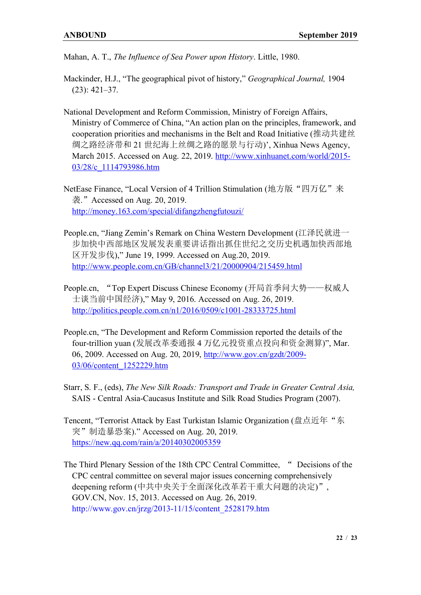Mahan, A. T., *The Influence of Sea Power upon History*. Little, 1980.

- Mackinder, H.J., "The geographical pivot of history," *Geographical Journal,* 1904 (23): 421–37.
- National Development and Reform Commission, Ministry of Foreign Affairs, Ministry of Commerce of China, "An action plan on the principles, framework, and cooperation priorities and mechanisms in the Belt and Road Initiative (推动共建丝 绸之路经济带和 21 世纪海上丝绸之路的愿景与行动)', Xinhua News Agency, March 2015. Accessed on Aug. 22, 2019. [http://www.xinhuanet.com/world/2015-](http://www.xinhuanet.com/world/2015-03/28/c_1114793986.htm) [03/28/c\\_1114793986.htm](http://www.xinhuanet.com/world/2015-03/28/c_1114793986.htm)
- NetEase Finance, "Local Version of 4 Trillion Stimulation (地方版"四万亿"来 袭."Accessed on Aug. 20, 2019. <http://money.163.com/special/difangzhengfutouzi/>
- People.cn, "Jiang Zemin's Remark on China Western Development (江泽民就进一 步加快中西部地区发展发表重要讲话指出抓住世纪之交历史机遇加快西部地 区开发步伐)," June 19, 1999. Accessed on Aug.20, 2019. <http://www.people.com.cn/GB/channel3/21/20000904/215459.html>
- People.cn, "Top Expert Discuss Chinese Economy (开局首季问大势——权威人 士谈当前中国经济)," May 9, 2016. Accessed on Aug. 26, 2019. <http://politics.people.com.cn/n1/2016/0509/c1001-28333725.html>
- People.cn, "The Development and Reform Commission reported the details of the four-trillion yuan (发展改革委通报 4 万亿元投资重点投向和资金测算)", Mar. 06, 2009. Accessed on Aug. 20, 2019, [http://www.gov.cn/gzdt/2009-](http://www.gov.cn/gzdt/2009-03/06/content_1252229.htm) [03/06/content\\_1252229.htm](http://www.gov.cn/gzdt/2009-03/06/content_1252229.htm)
- Starr, S. F., (eds), *The New Silk Roads: Transport and Trade in Greater Central Asia,*  SAIS - Central Asia-Caucasus Institute and Silk Road Studies Program (2007).
- Tencent, "Terrorist Attack by East Turkistan Islamic Organization (盘点近年"东 突"制造暴恐案)." Accessed on Aug. 20, 2019. <https://new.qq.com/rain/a/20140302005359>
- The Third Plenary Session of the 18th CPC Central Committee, " Decisions of the CPC central committee on several major issues concerning comprehensively deepening reform (中共中央关于全面深化改革若干重大问题的决定)", GOV.CN, Nov. 15, 2013. Accessed on Aug. 26, 2019. [http://www.gov.cn/jrzg/2013-11/15/content\\_2528179.htm](http://www.gov.cn/jrzg/2013-11/15/content_2528179.htm)